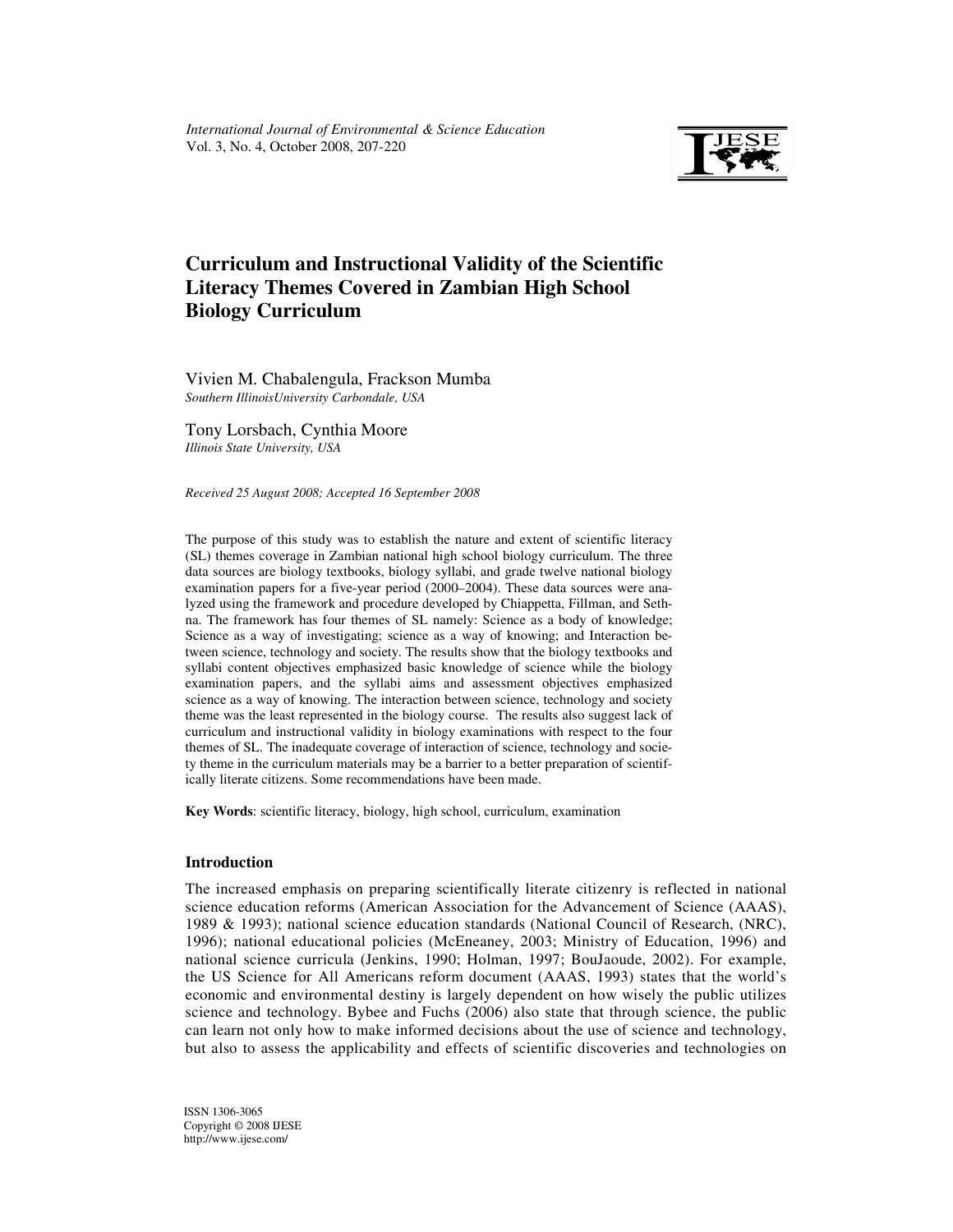

# **Curriculum and Instructional Validity of the Scientific Literacy Themes Covered in Zambian High School Biology Curriculum**

Vivien M. Chabalengula, Frackson Mumba *Southern IllinoisUniversity Carbondale, USA* 

Tony Lorsbach, Cynthia Moore *Illinois State University, USA* 

*Received 25 August 2008; Accepted 16 September 2008* 

The purpose of this study was to establish the nature and extent of scientific literacy (SL) themes coverage in Zambian national high school biology curriculum. The three data sources are biology textbooks, biology syllabi, and grade twelve national biology examination papers for a five-year period (2000–2004). These data sources were analyzed using the framework and procedure developed by Chiappetta, Fillman, and Sethna. The framework has four themes of SL namely: Science as a body of knowledge; Science as a way of investigating; science as a way of knowing; and Interaction between science, technology and society. The results show that the biology textbooks and syllabi content objectives emphasized basic knowledge of science while the biology examination papers, and the syllabi aims and assessment objectives emphasized science as a way of knowing. The interaction between science, technology and society theme was the least represented in the biology course. The results also suggest lack of curriculum and instructional validity in biology examinations with respect to the four themes of SL. The inadequate coverage of interaction of science, technology and society theme in the curriculum materials may be a barrier to a better preparation of scientifically literate citizens. Some recommendations have been made.

**Key Words**: scientific literacy, biology, high school, curriculum, examination

## **Introduction**

The increased emphasis on preparing scientifically literate citizenry is reflected in national science education reforms (American Association for the Advancement of Science (AAAS), 1989 & 1993); national science education standards (National Council of Research, (NRC), 1996); national educational policies (McEneaney, 2003; Ministry of Education, 1996) and national science curricula (Jenkins, 1990; Holman, 1997; BouJaoude, 2002). For example, the US Science for All Americans reform document (AAAS, 1993) states that the world's economic and environmental destiny is largely dependent on how wisely the public utilizes science and technology. Bybee and Fuchs (2006) also state that through science, the public can learn not only how to make informed decisions about the use of science and technology, but also to assess the applicability and effects of scientific discoveries and technologies on

ISSN 1306-3065 Copyright © 2008 IJESE http://www.ijese.com/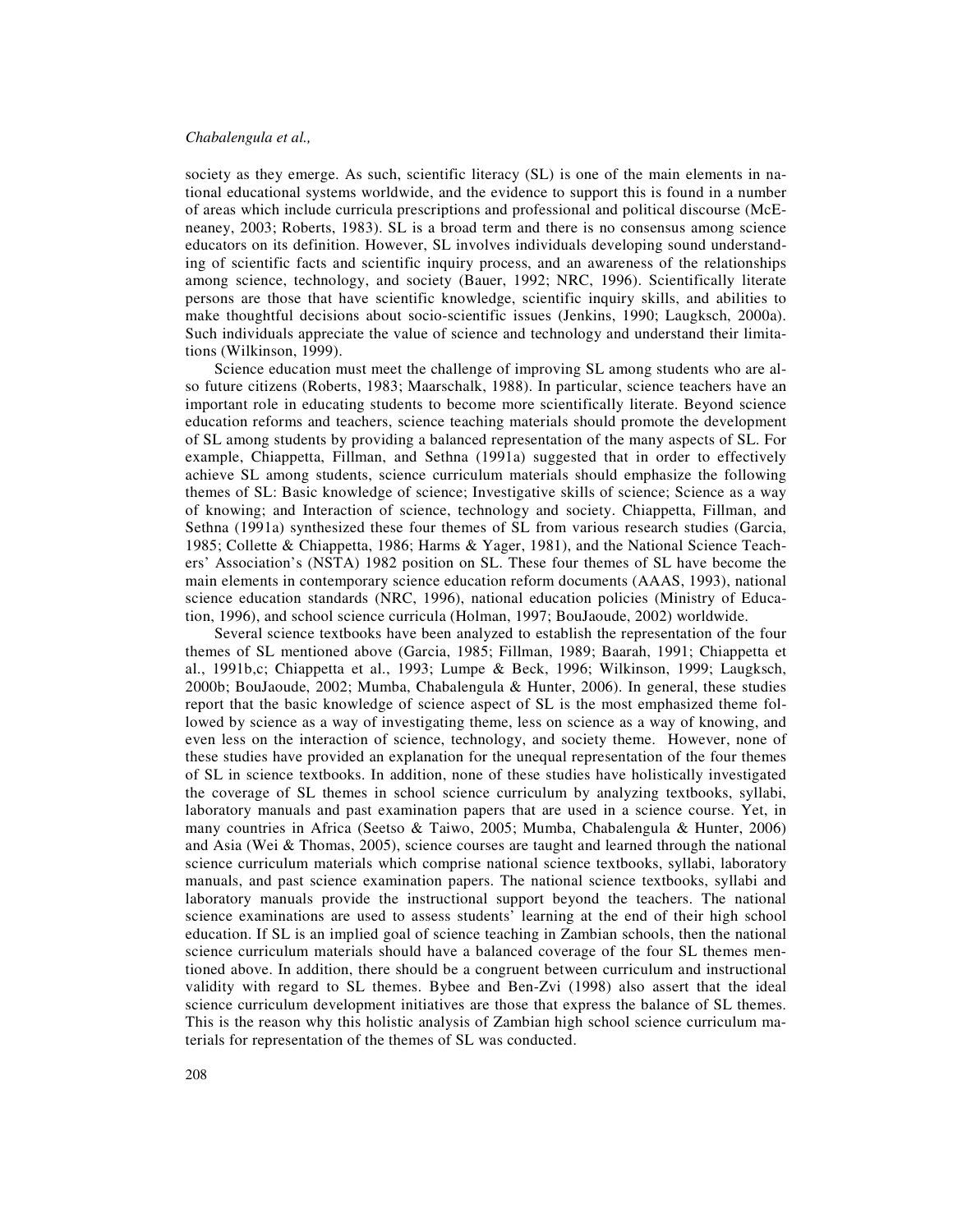society as they emerge. As such, scientific literacy (SL) is one of the main elements in national educational systems worldwide, and the evidence to support this is found in a number of areas which include curricula prescriptions and professional and political discourse (McEneaney, 2003; Roberts, 1983). SL is a broad term and there is no consensus among science educators on its definition. However, SL involves individuals developing sound understanding of scientific facts and scientific inquiry process, and an awareness of the relationships among science, technology, and society (Bauer, 1992; NRC, 1996). Scientifically literate persons are those that have scientific knowledge, scientific inquiry skills, and abilities to make thoughtful decisions about socio-scientific issues (Jenkins, 1990; Laugksch, 2000a). Such individuals appreciate the value of science and technology and understand their limitations (Wilkinson, 1999).

Science education must meet the challenge of improving SL among students who are also future citizens (Roberts, 1983; Maarschalk, 1988). In particular, science teachers have an important role in educating students to become more scientifically literate. Beyond science education reforms and teachers, science teaching materials should promote the development of SL among students by providing a balanced representation of the many aspects of SL. For example, Chiappetta, Fillman, and Sethna (1991a) suggested that in order to effectively achieve SL among students, science curriculum materials should emphasize the following themes of SL: Basic knowledge of science; Investigative skills of science; Science as a way of knowing; and Interaction of science, technology and society. Chiappetta, Fillman, and Sethna (1991a) synthesized these four themes of SL from various research studies (Garcia, 1985; Collette & Chiappetta, 1986; Harms & Yager, 1981), and the National Science Teachers' Association's (NSTA) 1982 position on SL. These four themes of SL have become the main elements in contemporary science education reform documents (AAAS, 1993), national science education standards (NRC, 1996), national education policies (Ministry of Education, 1996), and school science curricula (Holman, 1997; BouJaoude, 2002) worldwide.

Several science textbooks have been analyzed to establish the representation of the four themes of SL mentioned above (Garcia, 1985; Fillman, 1989; Baarah, 1991; Chiappetta et al., 1991b,c; Chiappetta et al., 1993; Lumpe & Beck, 1996; Wilkinson, 1999; Laugksch, 2000b; BouJaoude, 2002; Mumba, Chabalengula & Hunter, 2006). In general, these studies report that the basic knowledge of science aspect of SL is the most emphasized theme followed by science as a way of investigating theme, less on science as a way of knowing, and even less on the interaction of science, technology, and society theme. However, none of these studies have provided an explanation for the unequal representation of the four themes of SL in science textbooks. In addition, none of these studies have holistically investigated the coverage of SL themes in school science curriculum by analyzing textbooks, syllabi, laboratory manuals and past examination papers that are used in a science course. Yet, in many countries in Africa (Seetso & Taiwo, 2005; Mumba, Chabalengula & Hunter, 2006) and Asia (Wei & Thomas, 2005), science courses are taught and learned through the national science curriculum materials which comprise national science textbooks, syllabi, laboratory manuals, and past science examination papers. The national science textbooks, syllabi and laboratory manuals provide the instructional support beyond the teachers. The national science examinations are used to assess students' learning at the end of their high school education. If SL is an implied goal of science teaching in Zambian schools, then the national science curriculum materials should have a balanced coverage of the four SL themes mentioned above. In addition, there should be a congruent between curriculum and instructional validity with regard to SL themes. Bybee and Ben-Zvi (1998) also assert that the ideal science curriculum development initiatives are those that express the balance of SL themes. This is the reason why this holistic analysis of Zambian high school science curriculum materials for representation of the themes of SL was conducted.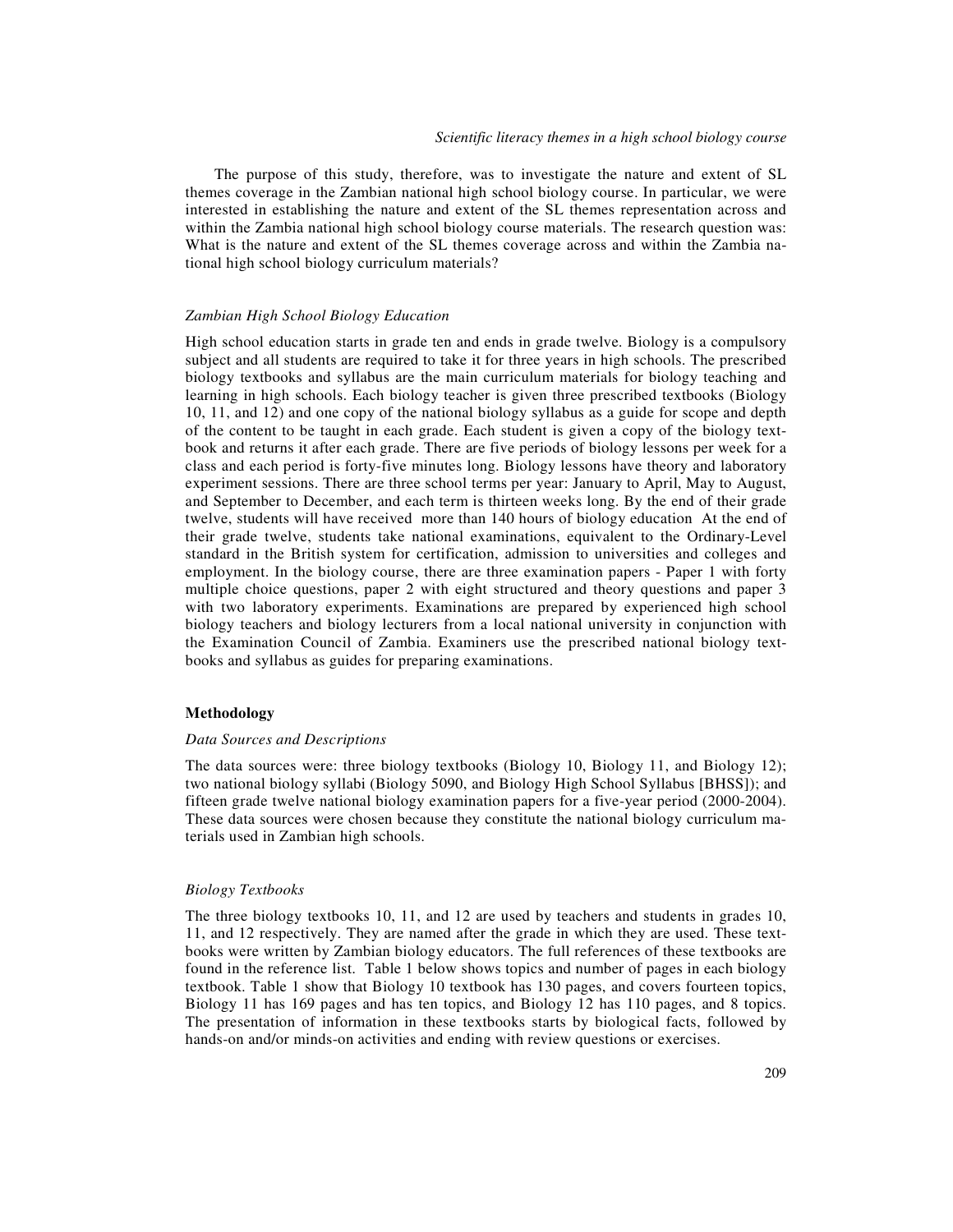The purpose of this study, therefore, was to investigate the nature and extent of SL themes coverage in the Zambian national high school biology course. In particular, we were interested in establishing the nature and extent of the SL themes representation across and within the Zambia national high school biology course materials. The research question was: What is the nature and extent of the SL themes coverage across and within the Zambia national high school biology curriculum materials?

#### *Zambian High School Biology Education*

High school education starts in grade ten and ends in grade twelve. Biology is a compulsory subject and all students are required to take it for three years in high schools. The prescribed biology textbooks and syllabus are the main curriculum materials for biology teaching and learning in high schools. Each biology teacher is given three prescribed textbooks (Biology 10, 11, and 12) and one copy of the national biology syllabus as a guide for scope and depth of the content to be taught in each grade. Each student is given a copy of the biology textbook and returns it after each grade. There are five periods of biology lessons per week for a class and each period is forty-five minutes long. Biology lessons have theory and laboratory experiment sessions. There are three school terms per year: January to April, May to August, and September to December, and each term is thirteen weeks long. By the end of their grade twelve, students will have received more than 140 hours of biology education At the end of their grade twelve, students take national examinations, equivalent to the Ordinary-Level standard in the British system for certification, admission to universities and colleges and employment. In the biology course, there are three examination papers - Paper 1 with forty multiple choice questions, paper 2 with eight structured and theory questions and paper 3 with two laboratory experiments. Examinations are prepared by experienced high school biology teachers and biology lecturers from a local national university in conjunction with the Examination Council of Zambia. Examiners use the prescribed national biology textbooks and syllabus as guides for preparing examinations.

#### **Methodology**

#### *Data Sources and Descriptions*

The data sources were: three biology textbooks (Biology 10, Biology 11, and Biology 12); two national biology syllabi (Biology 5090, and Biology High School Syllabus [BHSS]); and fifteen grade twelve national biology examination papers for a five-year period (2000-2004). These data sources were chosen because they constitute the national biology curriculum materials used in Zambian high schools.

#### *Biology Textbooks*

The three biology textbooks 10, 11, and 12 are used by teachers and students in grades 10, 11, and 12 respectively. They are named after the grade in which they are used. These textbooks were written by Zambian biology educators. The full references of these textbooks are found in the reference list. Table 1 below shows topics and number of pages in each biology textbook. Table 1 show that Biology 10 textbook has 130 pages, and covers fourteen topics, Biology 11 has 169 pages and has ten topics, and Biology 12 has 110 pages, and 8 topics. The presentation of information in these textbooks starts by biological facts, followed by hands-on and/or minds-on activities and ending with review questions or exercises.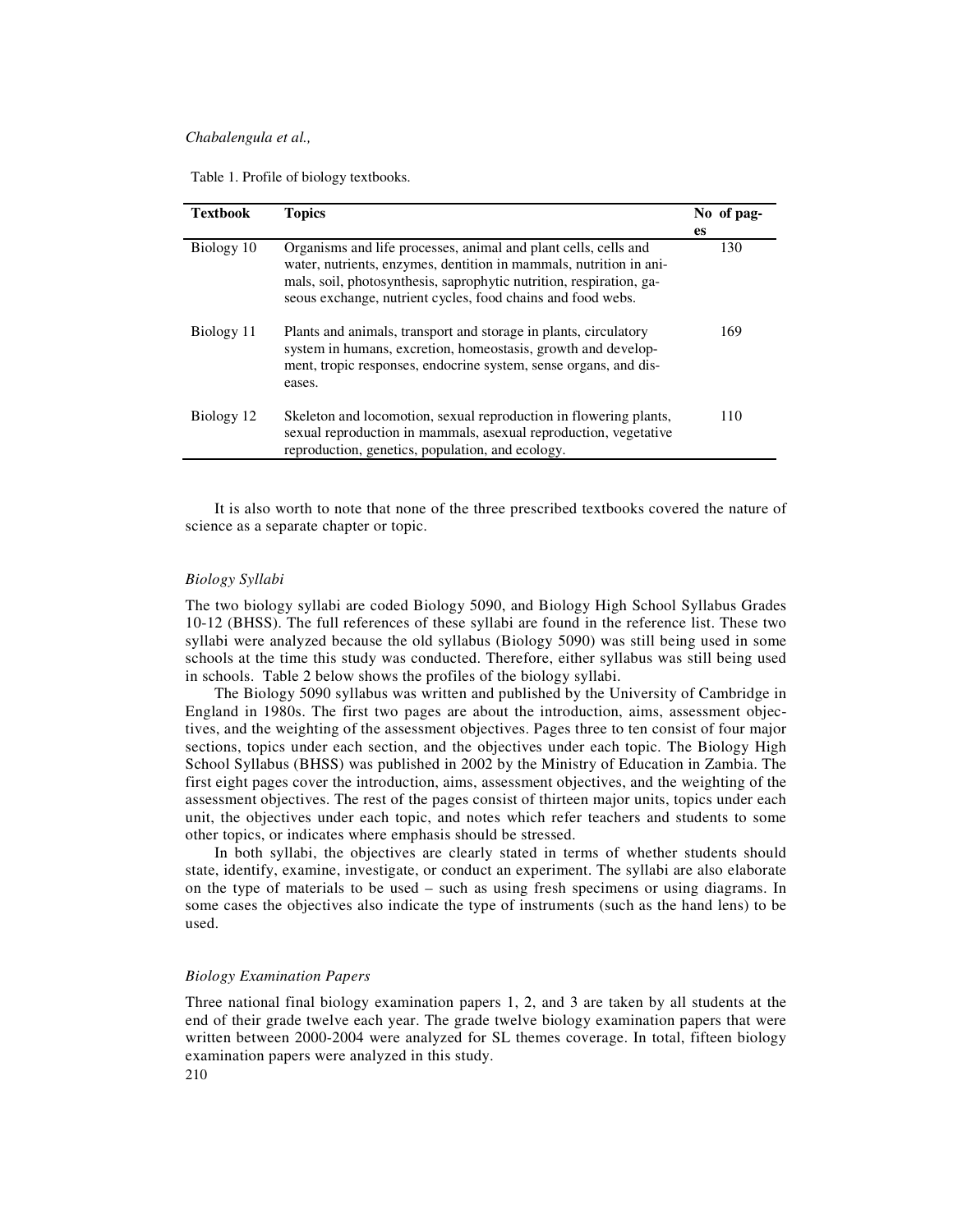Table 1. Profile of biology textbooks.

| <b>Textbook</b> | <b>Topics</b>                                                                                                                                                                                                                                                               | No of pag- |
|-----------------|-----------------------------------------------------------------------------------------------------------------------------------------------------------------------------------------------------------------------------------------------------------------------------|------------|
|                 |                                                                                                                                                                                                                                                                             | <b>es</b>  |
| Biology 10      | Organisms and life processes, animal and plant cells, cells and<br>water, nutrients, enzymes, dentition in mammals, nutrition in ani-<br>mals, soil, photosynthesis, saprophytic nutrition, respiration, ga-<br>seous exchange, nutrient cycles, food chains and food webs. | 130        |
| Biology 11      | Plants and animals, transport and storage in plants, circulatory<br>system in humans, excretion, homeostasis, growth and develop-<br>ment, tropic responses, endocrine system, sense organs, and dis-<br>eases.                                                             | 169        |
| Biology 12      | Skeleton and locomotion, sexual reproduction in flowering plants,<br>sexual reproduction in mammals, asexual reproduction, vegetative<br>reproduction, genetics, population, and ecology.                                                                                   | 110        |

It is also worth to note that none of the three prescribed textbooks covered the nature of science as a separate chapter or topic.

## *Biology Syllabi*

The two biology syllabi are coded Biology 5090, and Biology High School Syllabus Grades 10-12 (BHSS). The full references of these syllabi are found in the reference list. These two syllabi were analyzed because the old syllabus (Biology 5090) was still being used in some schools at the time this study was conducted. Therefore, either syllabus was still being used in schools. Table 2 below shows the profiles of the biology syllabi.

The Biology 5090 syllabus was written and published by the University of Cambridge in England in 1980s. The first two pages are about the introduction, aims, assessment objectives, and the weighting of the assessment objectives. Pages three to ten consist of four major sections, topics under each section, and the objectives under each topic. The Biology High School Syllabus (BHSS) was published in 2002 by the Ministry of Education in Zambia. The first eight pages cover the introduction, aims, assessment objectives, and the weighting of the assessment objectives. The rest of the pages consist of thirteen major units, topics under each unit, the objectives under each topic, and notes which refer teachers and students to some other topics, or indicates where emphasis should be stressed.

In both syllabi, the objectives are clearly stated in terms of whether students should state, identify, examine, investigate, or conduct an experiment. The syllabi are also elaborate on the type of materials to be used – such as using fresh specimens or using diagrams. In some cases the objectives also indicate the type of instruments (such as the hand lens) to be used.

#### *Biology Examination Papers*

Three national final biology examination papers 1, 2, and 3 are taken by all students at the end of their grade twelve each year. The grade twelve biology examination papers that were written between 2000-2004 were analyzed for SL themes coverage. In total, fifteen biology examination papers were analyzed in this study.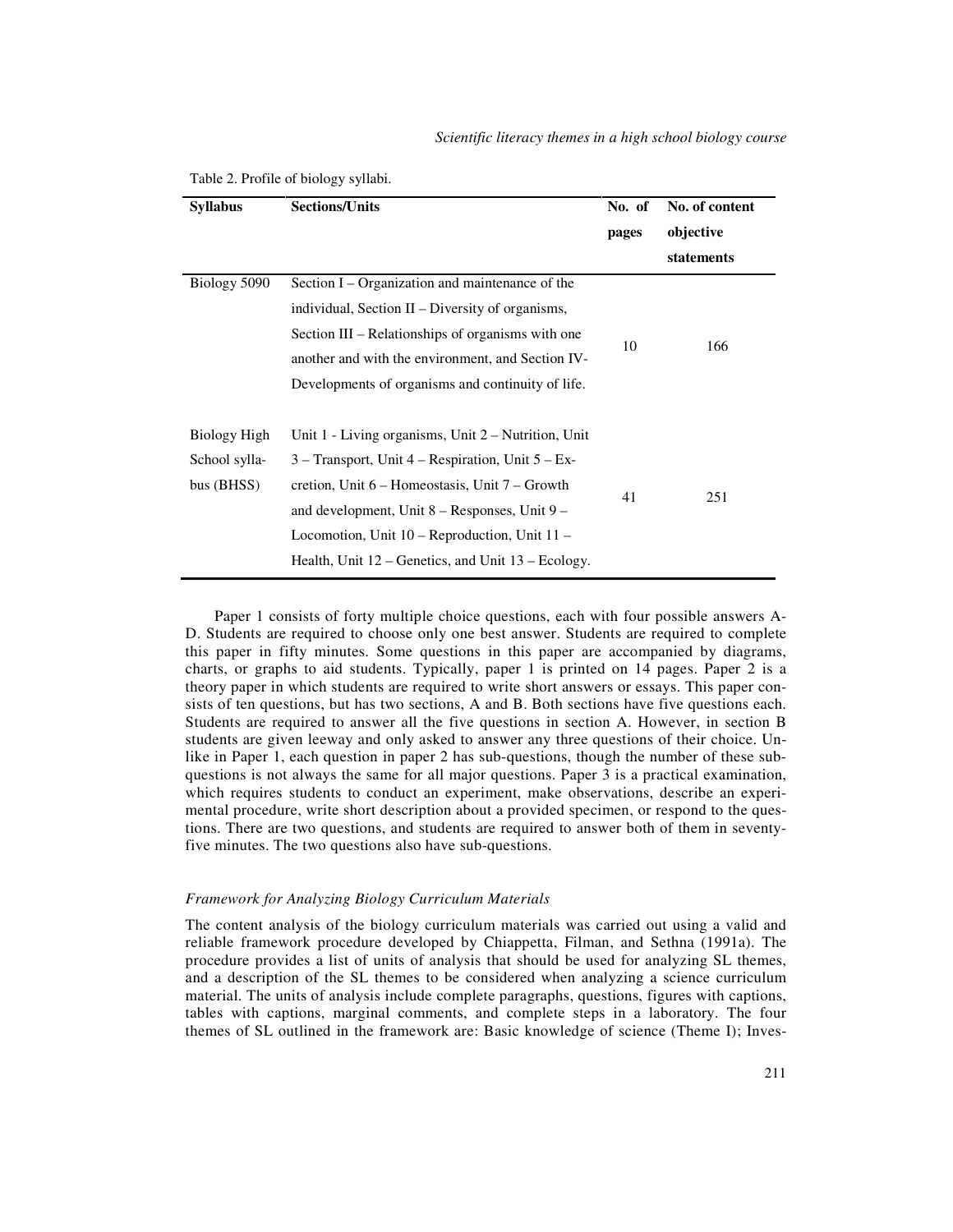| <b>Syllabus</b>                             | <b>Sections/Units</b>                                                                                                                                                                                                                                                        | No. of content<br>No. of |            |  |
|---------------------------------------------|------------------------------------------------------------------------------------------------------------------------------------------------------------------------------------------------------------------------------------------------------------------------------|--------------------------|------------|--|
|                                             |                                                                                                                                                                                                                                                                              | pages                    | objective  |  |
|                                             |                                                                                                                                                                                                                                                                              |                          | statements |  |
| Biology 5090                                | Section I – Organization and maintenance of the                                                                                                                                                                                                                              |                          | 166        |  |
|                                             | individual, Section II – Diversity of organisms,                                                                                                                                                                                                                             | 10                       |            |  |
|                                             | Section III – Relationships of organisms with one                                                                                                                                                                                                                            |                          |            |  |
|                                             | another and with the environment, and Section IV-                                                                                                                                                                                                                            |                          |            |  |
|                                             | Developments of organisms and continuity of life.                                                                                                                                                                                                                            |                          |            |  |
| Biology High<br>School sylla-<br>bus (BHSS) | Unit $1$ - Living organisms, Unit $2$ – Nutrition, Unit<br>$3$ – Transport, Unit 4 – Respiration, Unit $5$ – Ex-<br>cretion, Unit 6 – Homeostasis, Unit 7 – Growth<br>and development, Unit $8 -$ Responses, Unit $9 -$<br>Locomotion, Unit $10$ – Reproduction, Unit $11$ – | 41                       | 251        |  |
|                                             | Health, Unit $12$ – Genetics, and Unit $13$ – Ecology.                                                                                                                                                                                                                       |                          |            |  |

#### Table 2. Profile of biology syllabi.

Paper 1 consists of forty multiple choice questions, each with four possible answers A-D. Students are required to choose only one best answer. Students are required to complete this paper in fifty minutes. Some questions in this paper are accompanied by diagrams, charts, or graphs to aid students. Typically, paper 1 is printed on 14 pages. Paper 2 is a theory paper in which students are required to write short answers or essays. This paper consists of ten questions, but has two sections, A and B. Both sections have five questions each. Students are required to answer all the five questions in section A. However, in section B students are given leeway and only asked to answer any three questions of their choice. Unlike in Paper 1, each question in paper 2 has sub-questions, though the number of these subquestions is not always the same for all major questions. Paper 3 is a practical examination, which requires students to conduct an experiment, make observations, describe an experimental procedure, write short description about a provided specimen, or respond to the questions. There are two questions, and students are required to answer both of them in seventyfive minutes. The two questions also have sub-questions.

#### *Framework for Analyzing Biology Curriculum Materials*

The content analysis of the biology curriculum materials was carried out using a valid and reliable framework procedure developed by Chiappetta, Filman, and Sethna (1991a). The procedure provides a list of units of analysis that should be used for analyzing SL themes, and a description of the SL themes to be considered when analyzing a science curriculum material. The units of analysis include complete paragraphs, questions, figures with captions, tables with captions, marginal comments, and complete steps in a laboratory. The four themes of SL outlined in the framework are: Basic knowledge of science (Theme I); Inves-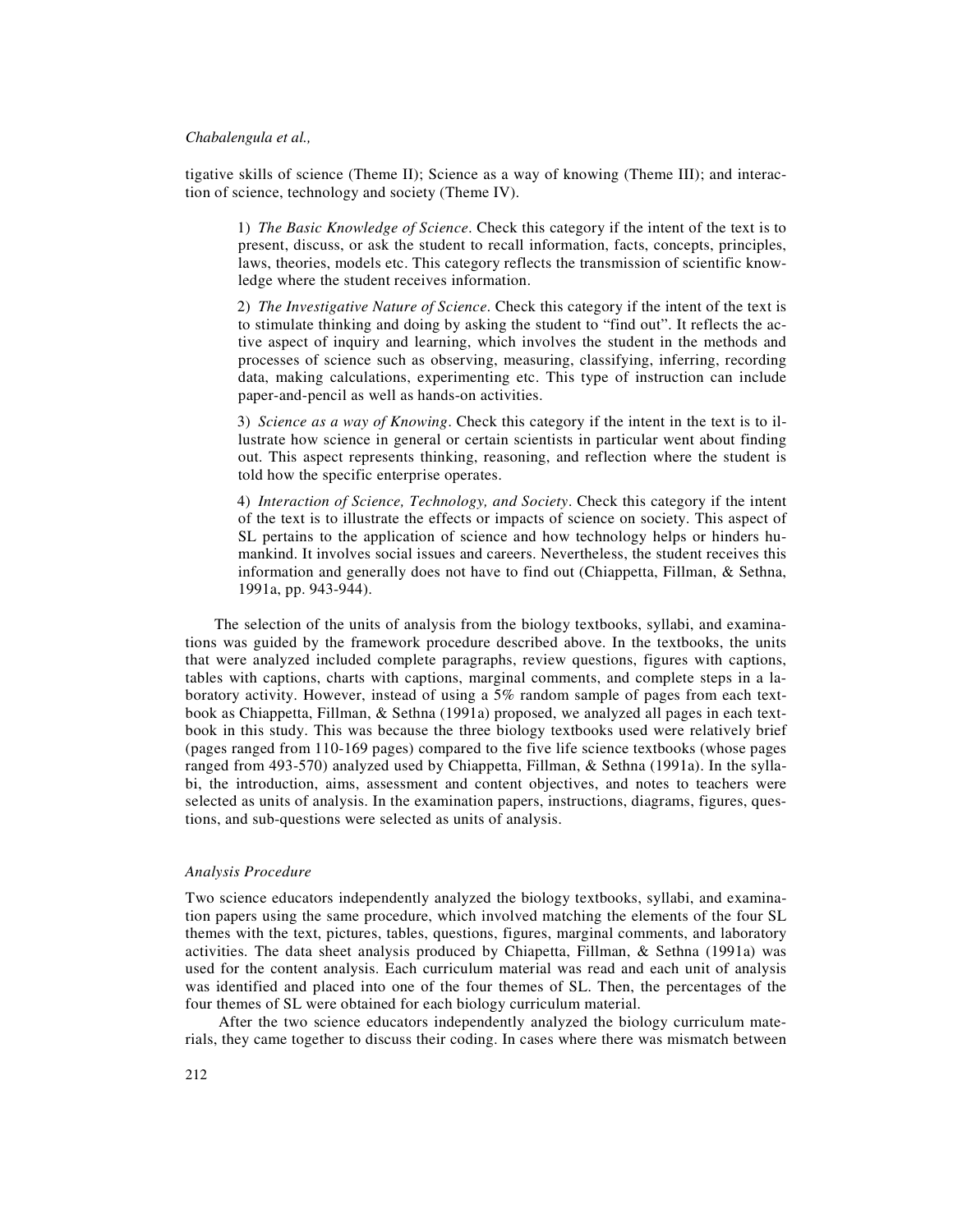tigative skills of science (Theme II); Science as a way of knowing (Theme III); and interaction of science, technology and society (Theme IV).

1) *The Basic Knowledge of Science*. Check this category if the intent of the text is to present, discuss, or ask the student to recall information, facts, concepts, principles, laws, theories, models etc. This category reflects the transmission of scientific knowledge where the student receives information.

2) *The Investigative Nature of Science*. Check this category if the intent of the text is to stimulate thinking and doing by asking the student to "find out". It reflects the active aspect of inquiry and learning, which involves the student in the methods and processes of science such as observing, measuring, classifying, inferring, recording data, making calculations, experimenting etc. This type of instruction can include paper-and-pencil as well as hands-on activities.

3) *Science as a way of Knowing*. Check this category if the intent in the text is to illustrate how science in general or certain scientists in particular went about finding out. This aspect represents thinking, reasoning, and reflection where the student is told how the specific enterprise operates.

4) *Interaction of Science, Technology, and Society*. Check this category if the intent of the text is to illustrate the effects or impacts of science on society. This aspect of SL pertains to the application of science and how technology helps or hinders humankind. It involves social issues and careers. Nevertheless, the student receives this information and generally does not have to find out (Chiappetta, Fillman, & Sethna, 1991a, pp. 943-944).

The selection of the units of analysis from the biology textbooks, syllabi, and examinations was guided by the framework procedure described above. In the textbooks, the units that were analyzed included complete paragraphs, review questions, figures with captions, tables with captions, charts with captions, marginal comments, and complete steps in a laboratory activity. However, instead of using a 5% random sample of pages from each textbook as Chiappetta, Fillman, & Sethna (1991a) proposed, we analyzed all pages in each textbook in this study. This was because the three biology textbooks used were relatively brief (pages ranged from 110-169 pages) compared to the five life science textbooks (whose pages ranged from 493-570) analyzed used by Chiappetta, Fillman, & Sethna (1991a). In the syllabi, the introduction, aims, assessment and content objectives, and notes to teachers were selected as units of analysis. In the examination papers, instructions, diagrams, figures, questions, and sub-questions were selected as units of analysis.

## *Analysis Procedure*

Two science educators independently analyzed the biology textbooks, syllabi, and examination papers using the same procedure, which involved matching the elements of the four SL themes with the text, pictures, tables, questions, figures, marginal comments, and laboratory activities. The data sheet analysis produced by Chiapetta, Fillman, & Sethna (1991a) was used for the content analysis. Each curriculum material was read and each unit of analysis was identified and placed into one of the four themes of SL. Then, the percentages of the four themes of SL were obtained for each biology curriculum material.

 After the two science educators independently analyzed the biology curriculum materials, they came together to discuss their coding. In cases where there was mismatch between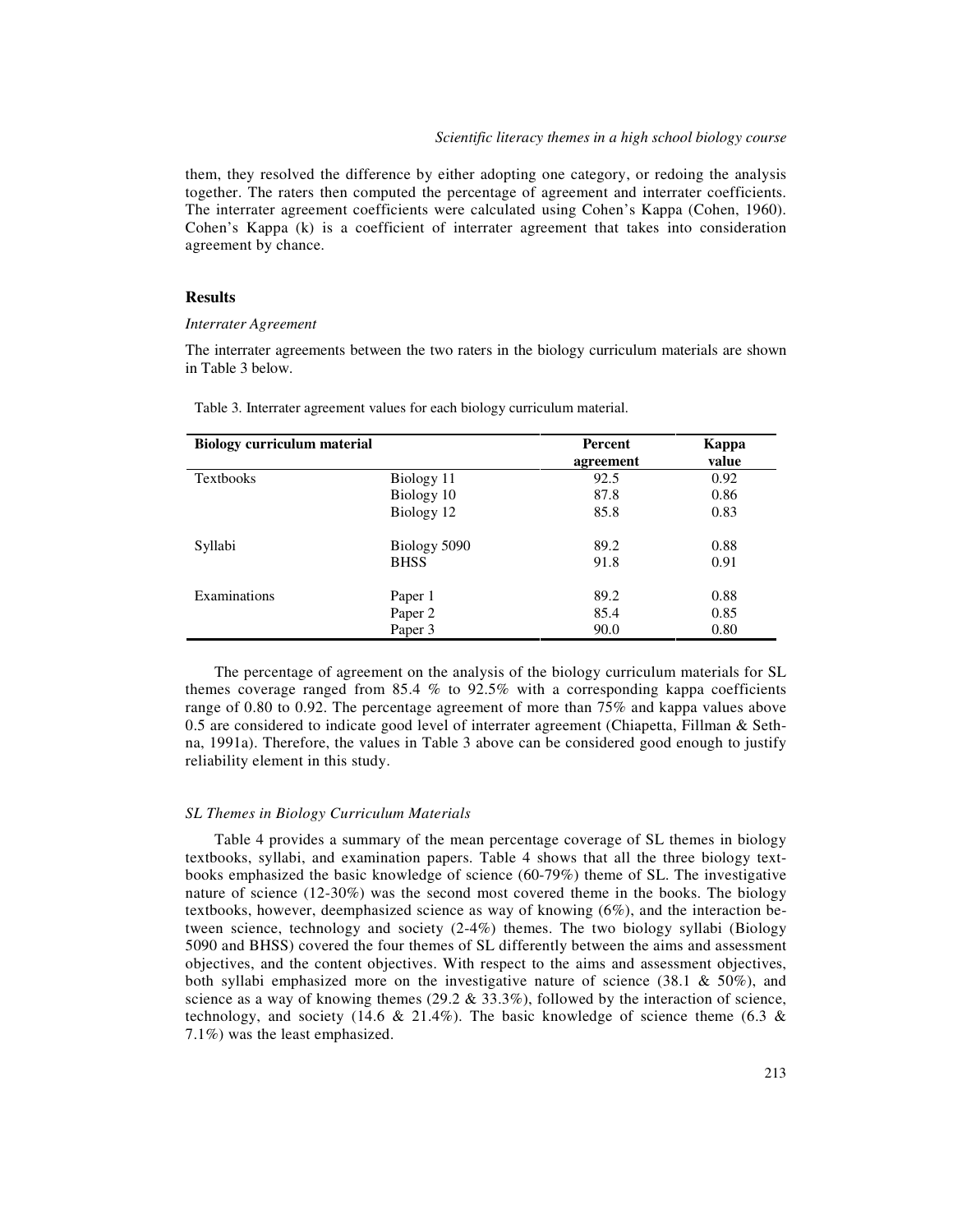them, they resolved the difference by either adopting one category, or redoing the analysis together. The raters then computed the percentage of agreement and interrater coefficients. The interrater agreement coefficients were calculated using Cohen's Kappa (Cohen, 1960). Cohen's Kappa (k) is a coefficient of interrater agreement that takes into consideration agreement by chance.

## **Results**

## *Interrater Agreement*

The interrater agreements between the two raters in the biology curriculum materials are shown in Table 3 below.

| <b>Biology curriculum material</b> |                    | <b>Percent</b><br>agreement | Kappa<br>value |  |
|------------------------------------|--------------------|-----------------------------|----------------|--|
| Textbooks                          | Biology 11         | 92.5                        | 0.92           |  |
|                                    | Biology 10         | 87.8                        | 0.86           |  |
|                                    | Biology 12         | 85.8                        | 0.83           |  |
| Syllabi                            | Biology 5090       | 89.2                        | 0.88           |  |
|                                    | <b>BHSS</b>        | 91.8                        | 0.91           |  |
| Examinations                       | Paper 1            | 89.2                        | 0.88           |  |
|                                    | Paper <sub>2</sub> | 85.4                        | 0.85           |  |
|                                    | Paper 3            | 90.0                        | 0.80           |  |

Table 3. Interrater agreement values for each biology curriculum material.

The percentage of agreement on the analysis of the biology curriculum materials for SL themes coverage ranged from 85.4 % to 92.5% with a corresponding kappa coefficients range of 0.80 to 0.92. The percentage agreement of more than 75% and kappa values above 0.5 are considered to indicate good level of interrater agreement (Chiapetta, Fillman & Sethna, 1991a). Therefore, the values in Table 3 above can be considered good enough to justify reliability element in this study.

#### *SL Themes in Biology Curriculum Materials*

Table 4 provides a summary of the mean percentage coverage of SL themes in biology textbooks, syllabi, and examination papers. Table 4 shows that all the three biology textbooks emphasized the basic knowledge of science (60-79%) theme of SL. The investigative nature of science (12-30%) was the second most covered theme in the books. The biology textbooks, however, deemphasized science as way of knowing (6%), and the interaction between science, technology and society (2-4%) themes. The two biology syllabi (Biology 5090 and BHSS) covered the four themes of SL differently between the aims and assessment objectives, and the content objectives. With respect to the aims and assessment objectives, both syllabi emphasized more on the investigative nature of science  $(38.1 \& 50\%)$ , and science as a way of knowing themes  $(29.2 \& 33.3\%)$ , followed by the interaction of science, technology, and society (14.6 & 21.4%). The basic knowledge of science theme (6.3 & 7.1%) was the least emphasized.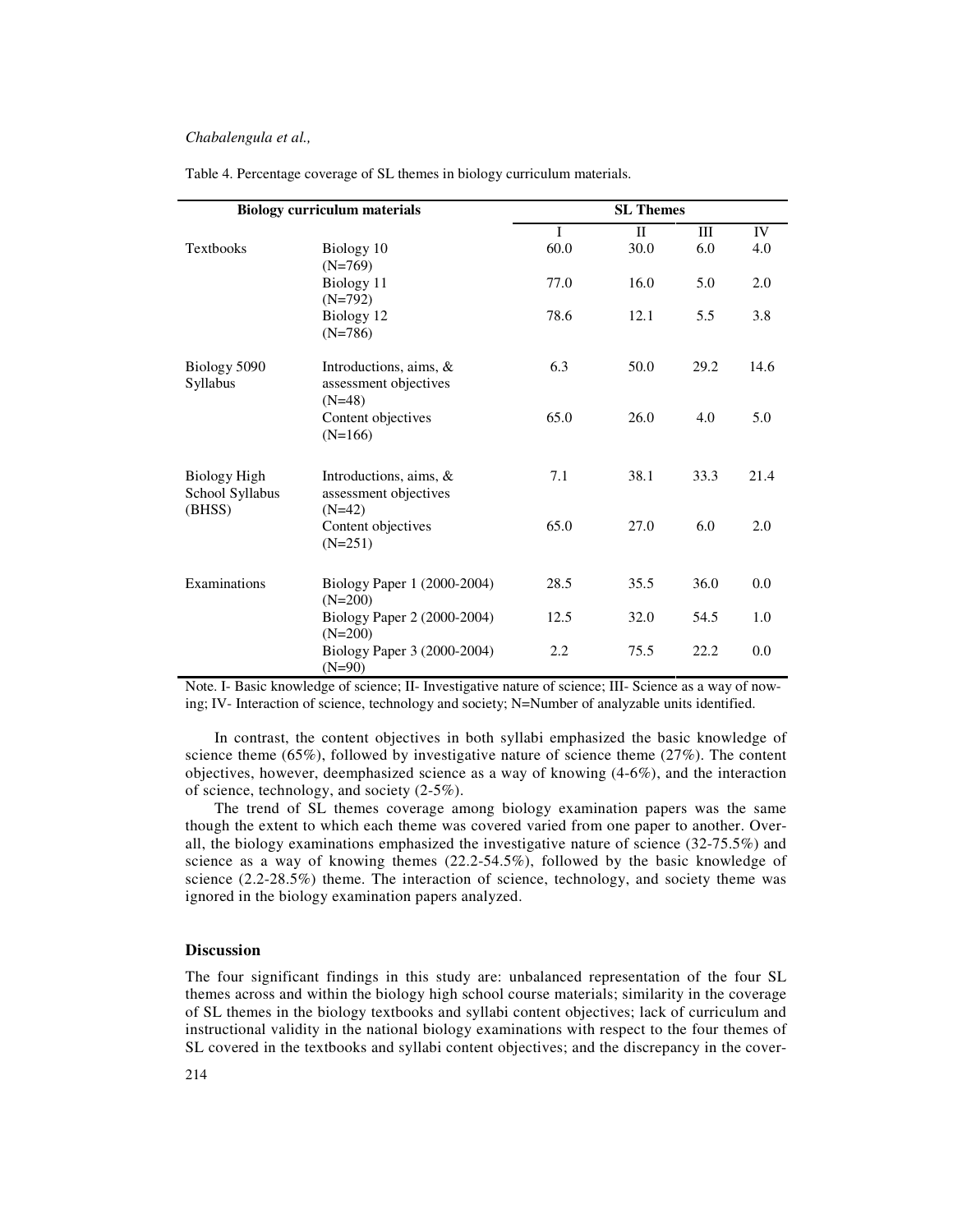| <b>Biology curriculum materials</b>              |                                                                |              | <b>SL Themes</b> |      |      |  |
|--------------------------------------------------|----------------------------------------------------------------|--------------|------------------|------|------|--|
|                                                  |                                                                | $\mathbf{I}$ | $\mathbf{H}$     | Ш    | IV   |  |
| <b>Textbooks</b>                                 | Biology 10<br>$(N=769)$                                        | 60.0         | 30.0             | 6.0  | 4.0  |  |
|                                                  | Biology 11<br>$(N=792)$                                        | 77.0         | 16.0             | 5.0  | 2.0  |  |
|                                                  | Biology 12<br>$(N=786)$                                        | 78.6         | 12.1             | 5.5  | 3.8  |  |
| Biology 5090<br>Syllabus                         | Introductions, aims, $\&$<br>assessment objectives<br>$(N=48)$ | 6.3          | 50.0             | 29.2 | 14.6 |  |
|                                                  | Content objectives<br>$(N=166)$                                | 65.0         | 26.0             | 4.0  | 5.0  |  |
| <b>Biology High</b><br>School Syllabus<br>(BHSS) | Introductions, aims, &<br>assessment objectives<br>$(N=42)$    | 7.1          | 38.1             | 33.3 | 21.4 |  |
|                                                  | Content objectives<br>$(N=251)$                                | 65.0         | 27.0             | 6.0  | 2.0  |  |
| Examinations                                     | Biology Paper 1 (2000-2004)<br>$(N=200)$                       | 28.5         | 35.5             | 36.0 | 0.0  |  |
|                                                  | Biology Paper 2 (2000-2004)<br>$(N=200)$                       | 12.5         | 32.0             | 54.5 | 1.0  |  |
|                                                  | Biology Paper 3 (2000-2004)<br>$(N=90)$                        | 2.2          | 75.5             | 22.2 | 0.0  |  |

Table 4. Percentage coverage of SL themes in biology curriculum materials.

Note. I- Basic knowledge of science; II- Investigative nature of science; III- Science as a way of nowing; IV- Interaction of science, technology and society; N=Number of analyzable units identified.

In contrast, the content objectives in both syllabi emphasized the basic knowledge of science theme  $(65\%)$ , followed by investigative nature of science theme  $(27\%)$ . The content objectives, however, deemphasized science as a way of knowing (4-6%), and the interaction of science, technology, and society (2-5%).

The trend of SL themes coverage among biology examination papers was the same though the extent to which each theme was covered varied from one paper to another. Overall, the biology examinations emphasized the investigative nature of science (32-75.5%) and science as a way of knowing themes (22.2-54.5%), followed by the basic knowledge of science (2.2-28.5%) theme. The interaction of science, technology, and society theme was ignored in the biology examination papers analyzed.

## **Discussion**

The four significant findings in this study are: unbalanced representation of the four SL themes across and within the biology high school course materials; similarity in the coverage of SL themes in the biology textbooks and syllabi content objectives; lack of curriculum and instructional validity in the national biology examinations with respect to the four themes of SL covered in the textbooks and syllabi content objectives; and the discrepancy in the cover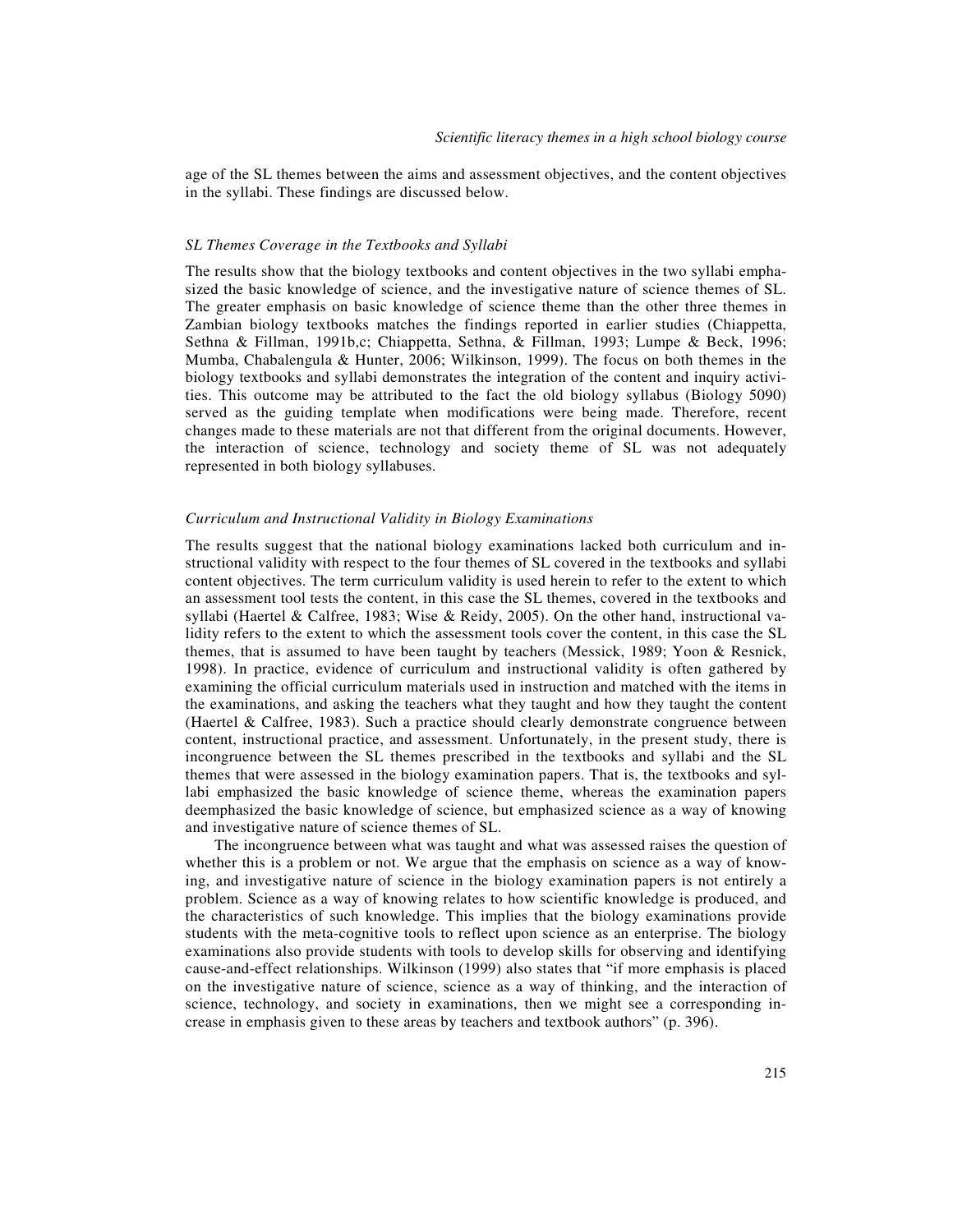age of the SL themes between the aims and assessment objectives, and the content objectives in the syllabi. These findings are discussed below.

#### *SL Themes Coverage in the Textbooks and Syllabi*

The results show that the biology textbooks and content objectives in the two syllabi emphasized the basic knowledge of science, and the investigative nature of science themes of SL. The greater emphasis on basic knowledge of science theme than the other three themes in Zambian biology textbooks matches the findings reported in earlier studies (Chiappetta, Sethna & Fillman, 1991b,c; Chiappetta, Sethna, & Fillman, 1993; Lumpe & Beck, 1996; Mumba, Chabalengula & Hunter, 2006; Wilkinson, 1999). The focus on both themes in the biology textbooks and syllabi demonstrates the integration of the content and inquiry activities. This outcome may be attributed to the fact the old biology syllabus (Biology 5090) served as the guiding template when modifications were being made. Therefore, recent changes made to these materials are not that different from the original documents. However, the interaction of science, technology and society theme of SL was not adequately represented in both biology syllabuses.

#### *Curriculum and Instructional Validity in Biology Examinations*

The results suggest that the national biology examinations lacked both curriculum and instructional validity with respect to the four themes of SL covered in the textbooks and syllabi content objectives. The term curriculum validity is used herein to refer to the extent to which an assessment tool tests the content, in this case the SL themes, covered in the textbooks and syllabi (Haertel & Calfree, 1983; Wise & Reidy, 2005). On the other hand, instructional validity refers to the extent to which the assessment tools cover the content, in this case the SL themes, that is assumed to have been taught by teachers (Messick, 1989; Yoon & Resnick, 1998). In practice, evidence of curriculum and instructional validity is often gathered by examining the official curriculum materials used in instruction and matched with the items in the examinations, and asking the teachers what they taught and how they taught the content (Haertel & Calfree, 1983). Such a practice should clearly demonstrate congruence between content, instructional practice, and assessment. Unfortunately, in the present study, there is incongruence between the SL themes prescribed in the textbooks and syllabi and the SL themes that were assessed in the biology examination papers. That is, the textbooks and syllabi emphasized the basic knowledge of science theme, whereas the examination papers deemphasized the basic knowledge of science, but emphasized science as a way of knowing and investigative nature of science themes of SL.

The incongruence between what was taught and what was assessed raises the question of whether this is a problem or not. We argue that the emphasis on science as a way of knowing, and investigative nature of science in the biology examination papers is not entirely a problem. Science as a way of knowing relates to how scientific knowledge is produced, and the characteristics of such knowledge. This implies that the biology examinations provide students with the meta-cognitive tools to reflect upon science as an enterprise. The biology examinations also provide students with tools to develop skills for observing and identifying cause-and-effect relationships. Wilkinson (1999) also states that "if more emphasis is placed on the investigative nature of science, science as a way of thinking, and the interaction of science, technology, and society in examinations, then we might see a corresponding increase in emphasis given to these areas by teachers and textbook authors" (p. 396).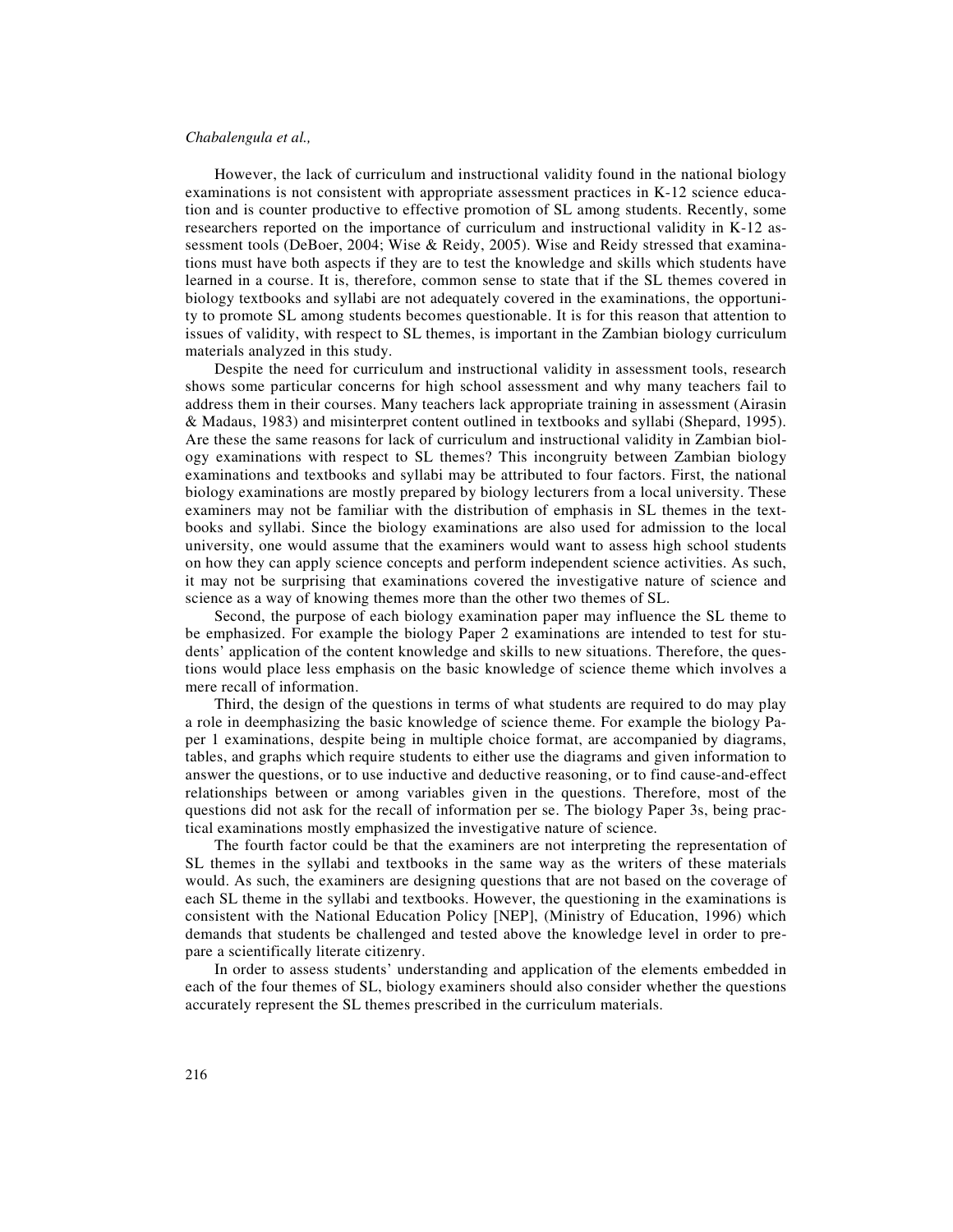However, the lack of curriculum and instructional validity found in the national biology examinations is not consistent with appropriate assessment practices in K-12 science education and is counter productive to effective promotion of SL among students. Recently, some researchers reported on the importance of curriculum and instructional validity in K-12 assessment tools (DeBoer, 2004; Wise & Reidy, 2005). Wise and Reidy stressed that examinations must have both aspects if they are to test the knowledge and skills which students have learned in a course. It is, therefore, common sense to state that if the SL themes covered in biology textbooks and syllabi are not adequately covered in the examinations, the opportunity to promote SL among students becomes questionable. It is for this reason that attention to issues of validity, with respect to SL themes, is important in the Zambian biology curriculum materials analyzed in this study.

Despite the need for curriculum and instructional validity in assessment tools, research shows some particular concerns for high school assessment and why many teachers fail to address them in their courses. Many teachers lack appropriate training in assessment (Airasin & Madaus, 1983) and misinterpret content outlined in textbooks and syllabi (Shepard, 1995). Are these the same reasons for lack of curriculum and instructional validity in Zambian biology examinations with respect to SL themes? This incongruity between Zambian biology examinations and textbooks and syllabi may be attributed to four factors. First, the national biology examinations are mostly prepared by biology lecturers from a local university. These examiners may not be familiar with the distribution of emphasis in SL themes in the textbooks and syllabi. Since the biology examinations are also used for admission to the local university, one would assume that the examiners would want to assess high school students on how they can apply science concepts and perform independent science activities. As such, it may not be surprising that examinations covered the investigative nature of science and science as a way of knowing themes more than the other two themes of SL.

Second, the purpose of each biology examination paper may influence the SL theme to be emphasized. For example the biology Paper 2 examinations are intended to test for students' application of the content knowledge and skills to new situations. Therefore, the questions would place less emphasis on the basic knowledge of science theme which involves a mere recall of information.

Third, the design of the questions in terms of what students are required to do may play a role in deemphasizing the basic knowledge of science theme. For example the biology Paper 1 examinations, despite being in multiple choice format, are accompanied by diagrams, tables, and graphs which require students to either use the diagrams and given information to answer the questions, or to use inductive and deductive reasoning, or to find cause-and-effect relationships between or among variables given in the questions. Therefore, most of the questions did not ask for the recall of information per se. The biology Paper 3s, being practical examinations mostly emphasized the investigative nature of science.

The fourth factor could be that the examiners are not interpreting the representation of SL themes in the syllabi and textbooks in the same way as the writers of these materials would. As such, the examiners are designing questions that are not based on the coverage of each SL theme in the syllabi and textbooks. However, the questioning in the examinations is consistent with the National Education Policy [NEP], (Ministry of Education, 1996) which demands that students be challenged and tested above the knowledge level in order to prepare a scientifically literate citizenry.

In order to assess students' understanding and application of the elements embedded in each of the four themes of SL, biology examiners should also consider whether the questions accurately represent the SL themes prescribed in the curriculum materials.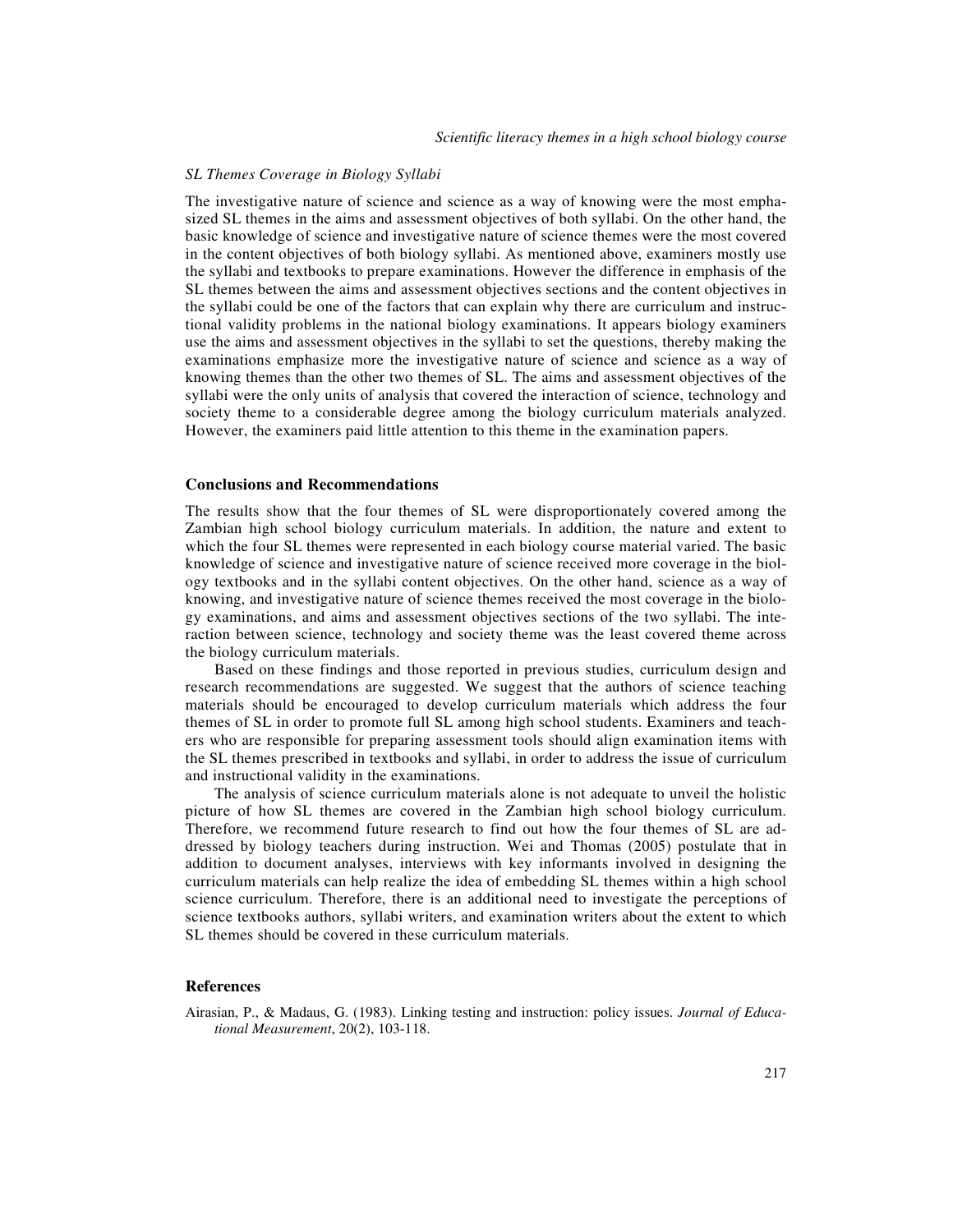#### *SL Themes Coverage in Biology Syllabi*

The investigative nature of science and science as a way of knowing were the most emphasized SL themes in the aims and assessment objectives of both syllabi. On the other hand, the basic knowledge of science and investigative nature of science themes were the most covered in the content objectives of both biology syllabi. As mentioned above, examiners mostly use the syllabi and textbooks to prepare examinations. However the difference in emphasis of the SL themes between the aims and assessment objectives sections and the content objectives in the syllabi could be one of the factors that can explain why there are curriculum and instructional validity problems in the national biology examinations. It appears biology examiners use the aims and assessment objectives in the syllabi to set the questions, thereby making the examinations emphasize more the investigative nature of science and science as a way of knowing themes than the other two themes of SL. The aims and assessment objectives of the syllabi were the only units of analysis that covered the interaction of science, technology and society theme to a considerable degree among the biology curriculum materials analyzed. However, the examiners paid little attention to this theme in the examination papers.

#### **Conclusions and Recommendations**

The results show that the four themes of SL were disproportionately covered among the Zambian high school biology curriculum materials. In addition, the nature and extent to which the four SL themes were represented in each biology course material varied. The basic knowledge of science and investigative nature of science received more coverage in the biology textbooks and in the syllabi content objectives. On the other hand, science as a way of knowing, and investigative nature of science themes received the most coverage in the biology examinations, and aims and assessment objectives sections of the two syllabi. The interaction between science, technology and society theme was the least covered theme across the biology curriculum materials.

Based on these findings and those reported in previous studies, curriculum design and research recommendations are suggested. We suggest that the authors of science teaching materials should be encouraged to develop curriculum materials which address the four themes of SL in order to promote full SL among high school students. Examiners and teachers who are responsible for preparing assessment tools should align examination items with the SL themes prescribed in textbooks and syllabi, in order to address the issue of curriculum and instructional validity in the examinations.

The analysis of science curriculum materials alone is not adequate to unveil the holistic picture of how SL themes are covered in the Zambian high school biology curriculum. Therefore, we recommend future research to find out how the four themes of SL are addressed by biology teachers during instruction. Wei and Thomas (2005) postulate that in addition to document analyses, interviews with key informants involved in designing the curriculum materials can help realize the idea of embedding SL themes within a high school science curriculum. Therefore, there is an additional need to investigate the perceptions of science textbooks authors, syllabi writers, and examination writers about the extent to which SL themes should be covered in these curriculum materials.

## **References**

Airasian, P., & Madaus, G. (1983). Linking testing and instruction: policy issues. *Journal of Educational Measurement*, 20(2), 103-118.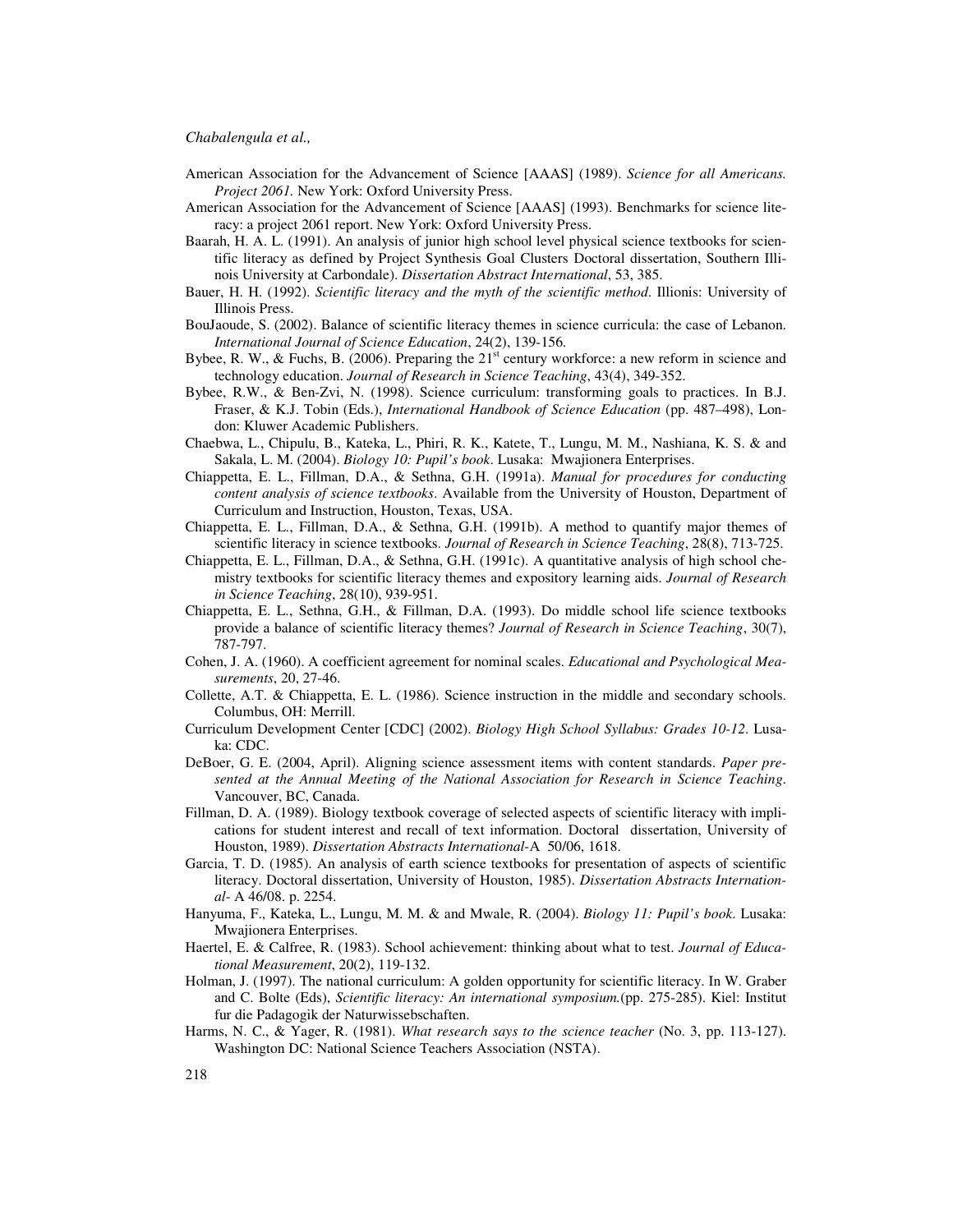- American Association for the Advancement of Science [AAAS] (1989). *Science for all Americans. Project 2061.* New York: Oxford University Press.
- American Association for the Advancement of Science [AAAS] (1993). Benchmarks for science literacy: a project 2061 report. New York: Oxford University Press.
- Baarah, H. A. L. (1991). An analysis of junior high school level physical science textbooks for scientific literacy as defined by Project Synthesis Goal Clusters Doctoral dissertation, Southern Illinois University at Carbondale). *Dissertation Abstract International*, 53, 385.
- Bauer, H. H. (1992). *Scientific literacy and the myth of the scientific method*. Illionis: University of Illinois Press.
- BouJaoude, S. (2002). Balance of scientific literacy themes in science curricula: the case of Lebanon. *International Journal of Science Education*, 24(2), 139-156.
- Bybee, R. W., & Fuchs, B. (2006). Preparing the  $21<sup>st</sup>$  century workforce: a new reform in science and technology education. *Journal of Research in Science Teaching*, 43(4), 349-352.
- Bybee, R.W., & Ben-Zvi, N. (1998). Science curriculum: transforming goals to practices. In B.J. Fraser, & K.J. Tobin (Eds.), *International Handbook of Science Education* (pp. 487–498), London: Kluwer Academic Publishers.
- Chaebwa, L., Chipulu, B., Kateka, L., Phiri, R. K., Katete, T., Lungu, M. M., Nashiana, K. S. & and Sakala, L. M. (2004). *Biology 10: Pupil's book*. Lusaka: Mwajionera Enterprises.
- Chiappetta, E. L., Fillman, D.A., & Sethna, G.H. (1991a). *Manual for procedures for conducting content analysis of science textbooks*. Available from the University of Houston, Department of Curriculum and Instruction, Houston, Texas, USA.
- Chiappetta, E. L., Fillman, D.A., & Sethna, G.H. (1991b). A method to quantify major themes of scientific literacy in science textbooks. *Journal of Research in Science Teaching*, 28(8), 713-725.
- Chiappetta, E. L., Fillman, D.A., & Sethna, G.H. (1991c). A quantitative analysis of high school chemistry textbooks for scientific literacy themes and expository learning aids. *Journal of Research in Science Teaching*, 28(10), 939-951.
- Chiappetta, E. L., Sethna, G.H., & Fillman, D.A. (1993). Do middle school life science textbooks provide a balance of scientific literacy themes? *Journal of Research in Science Teaching*, 30(7), 787-797.
- Cohen, J. A. (1960). A coefficient agreement for nominal scales. *Educational and Psychological Measurements*, 20, 27-46.
- Collette, A.T. & Chiappetta, E. L. (1986). Science instruction in the middle and secondary schools. Columbus, OH: Merrill.
- Curriculum Development Center [CDC] (2002). *Biology High School Syllabus: Grades 10-12*. Lusaka: CDC.
- DeBoer, G. E. (2004, April). Aligning science assessment items with content standards. *Paper presented at the Annual Meeting of the National Association for Research in Science Teaching*. Vancouver, BC, Canada.
- Fillman, D. A. (1989). Biology textbook coverage of selected aspects of scientific literacy with implications for student interest and recall of text information. Doctoral dissertation, University of Houston, 1989). *Dissertation Abstracts International*-A 50/06, 1618.
- Garcia, T. D. (1985). An analysis of earth science textbooks for presentation of aspects of scientific literacy. Doctoral dissertation, University of Houston, 1985). *Dissertation Abstracts International*- A 46/08. p. 2254.
- Hanyuma, F., Kateka, L., Lungu, M. M. & and Mwale, R. (2004). *Biology 11: Pupil's book*. Lusaka: Mwajionera Enterprises.
- Haertel, E. & Calfree, R. (1983). School achievement: thinking about what to test. *Journal of Educational Measurement*, 20(2), 119-132.
- Holman, J. (1997). The national curriculum: A golden opportunity for scientific literacy. In W. Graber and C. Bolte (Eds), *Scientific literacy: An international symposium.*(pp. 275-285). Kiel: Institut fur die Padagogik der Naturwissebschaften.
- Harms, N. C., & Yager, R. (1981). *What research says to the science teacher* (No. 3, pp. 113-127). Washington DC: National Science Teachers Association (NSTA).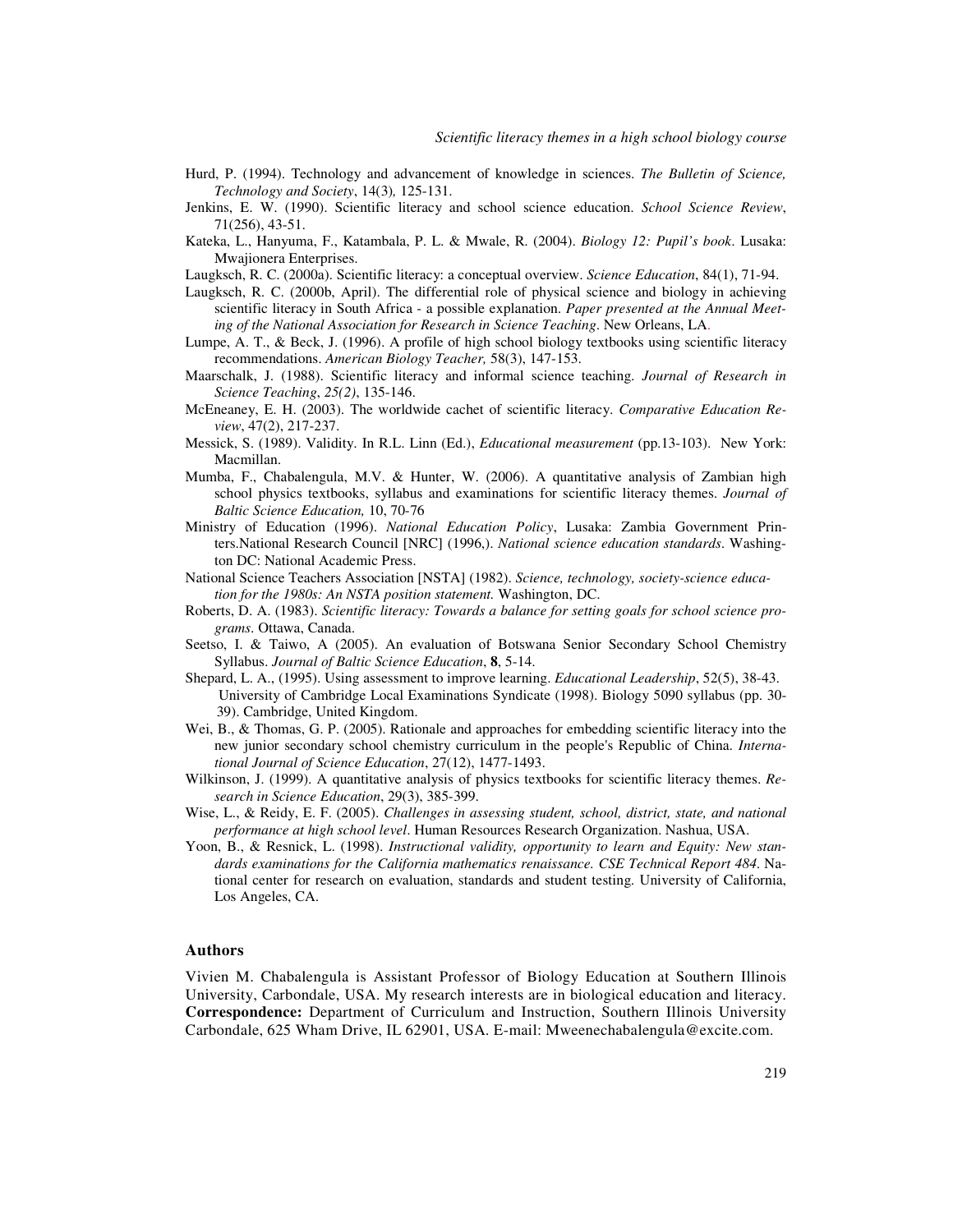- Hurd, P. (1994). Technology and advancement of knowledge in sciences. *The Bulletin of Science, Technology and Society*, 14(3)*,* 125-131.
- Jenkins, E. W. (1990). Scientific literacy and school science education. *School Science Review*, 71(256), 43-51.
- Kateka, L., Hanyuma, F., Katambala, P. L. & Mwale, R. (2004). *Biology 12: Pupil's book*. Lusaka: Mwajionera Enterprises.
- Laugksch, R. C. (2000a). Scientific literacy: a conceptual overview. *Science Education*, 84(1), 71-94.
- Laugksch, R. C. (2000b, April). The differential role of physical science and biology in achieving scientific literacy in South Africa - a possible explanation. *Paper presented at the Annual Meeting of the National Association for Research in Science Teaching*. New Orleans, LA.
- Lumpe, A. T., & Beck, J. (1996). A profile of high school biology textbooks using scientific literacy recommendations. *American Biology Teacher,* 58(3), 147-153.
- Maarschalk, J. (1988). Scientific literacy and informal science teaching. *Journal of Research in Science Teaching*, *25(2)*, 135-146.
- McEneaney, E. H. (2003). The worldwide cachet of scientific literacy. *Comparative Education Review*, 47(2), 217-237.
- Messick, S. (1989). Validity. In R.L. Linn (Ed.), *Educational measurement* (pp.13-103). New York: Macmillan.
- Mumba, F., Chabalengula, M.V. & Hunter, W. (2006). A quantitative analysis of Zambian high school physics textbooks, syllabus and examinations for scientific literacy themes. *Journal of Baltic Science Education,* 10, 70-76
- Ministry of Education (1996). *National Education Policy*, Lusaka: Zambia Government Printers.National Research Council [NRC] (1996,). *National science education standards*. Washington DC: National Academic Press.
- National Science Teachers Association [NSTA] (1982). *Science, technology, society-science education for the 1980s: An NSTA position statement.* Washington, DC.
- Roberts, D. A. (1983). *Scientific literacy: Towards a balance for setting goals for school science programs*. Ottawa, Canada.
- Seetso, I. & Taiwo, A (2005). An evaluation of Botswana Senior Secondary School Chemistry Syllabus. *Journal of Baltic Science Education*, **8**, 5-14.
- Shepard, L. A., (1995). Using assessment to improve learning. *Educational Leadership*, 52(5), 38-43. University of Cambridge Local Examinations Syndicate (1998). Biology 5090 syllabus (pp. 30- 39). Cambridge, United Kingdom.
- Wei, B., & Thomas, G. P. (2005). Rationale and approaches for embedding scientific literacy into the new junior secondary school chemistry curriculum in the people's Republic of China. *International Journal of Science Education*, 27(12), 1477-1493.
- Wilkinson, J. (1999). A quantitative analysis of physics textbooks for scientific literacy themes. *Research in Science Education*, 29(3), 385-399.
- Wise, L., & Reidy, E. F. (2005). *Challenges in assessing student, school, district, state, and national performance at high school level*. Human Resources Research Organization. Nashua, USA.
- Yoon, B., & Resnick, L. (1998). *Instructional validity, opportunity to learn and Equity: New standards examinations for the California mathematics renaissance. CSE Technical Report 484*. National center for research on evaluation, standards and student testing. University of California, Los Angeles, CA.

## **Authors**

Vivien M. Chabalengula is Assistant Professor of Biology Education at Southern Illinois University, Carbondale, USA. My research interests are in biological education and literacy. **Correspondence:** Department of Curriculum and Instruction, Southern Illinois University Carbondale, 625 Wham Drive, IL 62901, USA. E-mail: Mweenechabalengula@excite.com.